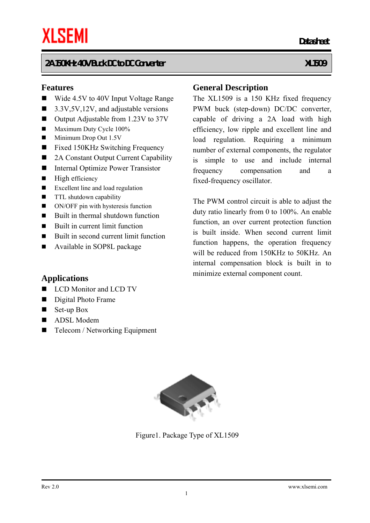#### **Features**

- Wide 4.5V to 40V Input Voltage Range
- $\blacksquare$  3.3V,5V,12V, and adjustable versions
- Output Adjustable from 1.23V to 37V
- Maximum Duty Cycle 100%
- Minimum Drop Out 1.5V
- Fixed 150KHz Switching Frequency
- 2A Constant Output Current Capability
- Internal Optimize Power Transistor
- $\blacksquare$  High efficiency
- Excellent line and load regulation
- **TTL** shutdown capability
- ON/OFF pin with hysteresis function
- $\blacksquare$  Built in thermal shutdown function
- $\blacksquare$  Built in current limit function
- Built in second current limit function
- **Available in SOP8L package**

#### **General Description**

*Datasheet* **Datasheet** 

The XL1509 is a 150 KHz fixed frequency PWM buck (step-down) DC/DC converter, capable of driving a 2A load with high efficiency, low ripple and excellent line and load regulation. Requiring a minimum number of external components, the regulator is simple to use and include internal frequency compensation and a fixed-frequency oscillator.

The PWM control circuit is able to adjust the duty ratio linearly from 0 to 100%. An enable function, an over current protection function is built inside. When second current limit function happens, the operation frequency will be reduced from 150KHz to 50KHz. An internal compensation block is built in to minimize external component count.

#### **Applications**

- LCD Monitor and LCD TV
- Digital Photo Frame
- $\blacksquare$  Set-up Box
- ADSL Modem
- Telecom / Networking Equipment



Figure1. Package Type of XL1509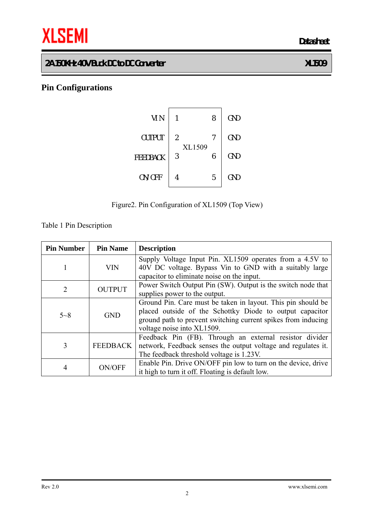# **THE SEMI** Datasheet

# **2A 150KHz 40V Buck DC to DC Converter XL1509**

# **Pin Configurations**





Table 1 Pin Description

| <b>Pin Number</b> | <b>Pin Name</b> | <b>Description</b>                                                                                                                                                                                                      |
|-------------------|-----------------|-------------------------------------------------------------------------------------------------------------------------------------------------------------------------------------------------------------------------|
| 1                 | <b>VIN</b>      | Supply Voltage Input Pin. XL1509 operates from a 4.5V to<br>40V DC voltage. Bypass Vin to GND with a suitably large<br>capacitor to eliminate noise on the input.                                                       |
| $\overline{2}$    | <b>OUTPUT</b>   | Power Switch Output Pin (SW). Output is the switch node that<br>supplies power to the output.                                                                                                                           |
| $5 - 8$           | <b>GND</b>      | Ground Pin. Care must be taken in layout. This pin should be<br>placed outside of the Schottky Diode to output capacitor<br>ground path to prevent switching current spikes from inducing<br>voltage noise into XL1509. |
| 3                 | <b>FEEDBACK</b> | Feedback Pin (FB). Through an external resistor divider<br>network, Feedback senses the output voltage and regulates it.<br>The feedback threshold voltage is 1.23V.                                                    |
| 4                 | ON/OFF          | Enable Pin. Drive ON/OFF pin low to turn on the device, drive<br>it high to turn it off. Floating is default low.                                                                                                       |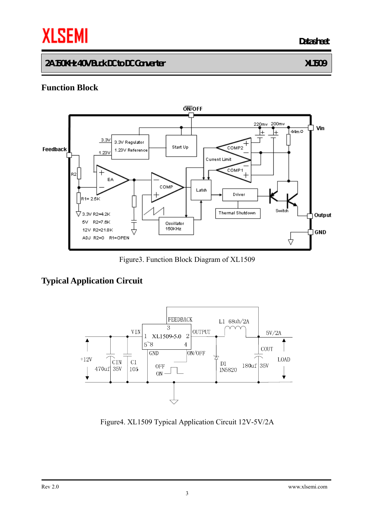# **THE SEMI** Datasheet

#### **2A 150KHz 40V Buck DC to DC Converter XL1509**

# **Function Block**



Figure3. Function Block Diagram of XL1509

# **Typical Application Circuit**



Figure4. XL1509 Typical Application Circuit 12V-5V/2A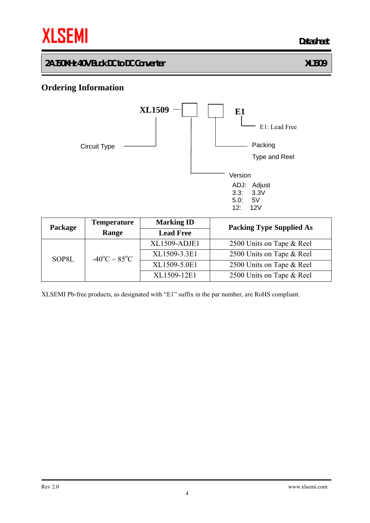

#### **Ordering Information**



| Package | <b>Temperature</b>                  | <b>Marking ID</b> | <b>Packing Type Supplied As</b> |  |  |
|---------|-------------------------------------|-------------------|---------------------------------|--|--|
|         | Range                               | <b>Lead Free</b>  |                                 |  |  |
|         |                                     | XL1509-ADJE1      | 2500 Units on Tape & Reel       |  |  |
| SOP8L   | $-40^{\circ}$ C ~ 85 <sup>°</sup> C | XL1509-3.3E1      | 2500 Units on Tape & Reel       |  |  |
|         |                                     | XL1509-5.0E1      | 2500 Units on Tape & Reel       |  |  |
|         |                                     | XL1509-12E1       | 2500 Units on Tape & Reel       |  |  |

XLSEMI Pb-free products, as designated with "E1" suffix in the par number, are RoHS compliant.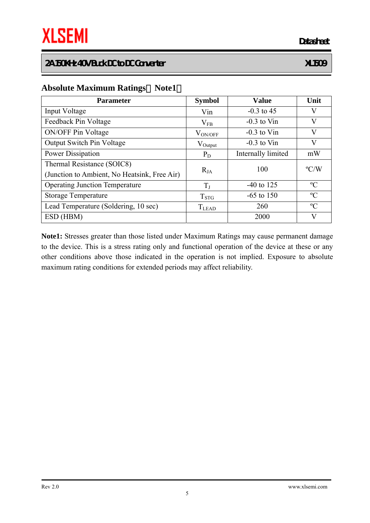#### **Absolute Maximum Ratings**(**Note1**)

| <b>Parameter</b>                                                           | <b>Symbol</b> | <b>Value</b>       | Unit          |
|----------------------------------------------------------------------------|---------------|--------------------|---------------|
| Input Voltage                                                              | Vin           | $-0.3$ to 45       | V             |
| Feedback Pin Voltage                                                       | $V_{FB}$      | $-0.3$ to Vin      | V             |
| <b>ON/OFF Pin Voltage</b>                                                  | $V_{ON/OFF}$  | $-0.3$ to Vin      | V             |
| <b>Output Switch Pin Voltage</b>                                           | $V_{Output}$  | $-0.3$ to Vin      | V             |
| <b>Power Dissipation</b>                                                   | $P_D$         | Internally limited | mW            |
| Thermal Resistance (SOIC8)<br>(Junction to Ambient, No Heatsink, Free Air) | $R_{JA}$      | 100                | $\rm ^{o}C/W$ |
| <b>Operating Junction Temperature</b>                                      | $T_{J}$       | $-40$ to 125       | $\rm ^{o}C$   |
| <b>Storage Temperature</b>                                                 | $T_{\rm STG}$ | $-65$ to 150       | $\rm ^{o}C$   |
| Lead Temperature (Soldering, 10 sec)                                       | <b>T</b> LEAD | 260                | $\rm ^{o}C$   |
| ESD (HBM)                                                                  |               | 2000               | V             |

**Note1:** Stresses greater than those listed under Maximum Ratings may cause permanent damage to the device. This is a stress rating only and functional operation of the device at these or any other conditions above those indicated in the operation is not implied. Exposure to absolute maximum rating conditions for extended periods may affect reliability.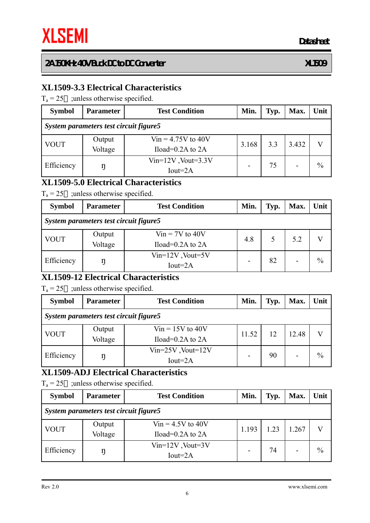# **XL1509-3.3 Electrical Characteristics**

 $T_a = 25$  ; unless otherwise specified.

| <b>Symbol</b>                          | <b>Parameter</b>  | <b>Test Condition</b>                          | Min.  | Typ. | Max.  | Unit          |  |  |  |  |
|----------------------------------------|-------------------|------------------------------------------------|-------|------|-------|---------------|--|--|--|--|
| System parameters test circuit figure5 |                   |                                                |       |      |       |               |  |  |  |  |
| <b>VOUT</b>                            | Output<br>Voltage | $V$ in = 4.75V to 40V<br>Iload= $0.2A$ to $2A$ | 3.168 | 3.3  | 3.432 |               |  |  |  |  |
| Efficiency                             | ŋ                 | $Vin=12V$ , Vout=3.3V<br>$Iout=2A$             | -     | 75   |       | $\frac{0}{0}$ |  |  |  |  |

# **XL1509-5.0 Electrical Characteristics**

 $T_a = 25$  ; unless otherwise specified.

| <b>Symbol</b>                          | <b>Parameter</b>  | <b>Test Condition</b>                       | Min. | Typ. | Max. | Unit          |  |  |  |  |
|----------------------------------------|-------------------|---------------------------------------------|------|------|------|---------------|--|--|--|--|
| System parameters test circuit figure5 |                   |                                             |      |      |      |               |  |  |  |  |
| <b>VOUT</b>                            | Output<br>Voltage | $V$ in = 7V to 40V<br>Iload= $0.2A$ to $2A$ | 4.8  |      | 5.2  |               |  |  |  |  |
| Efficiency                             | ŋ                 | $Vin=12V$ , Vout=5V<br>$Iout=2A$            | -    | 82   |      | $\frac{0}{0}$ |  |  |  |  |

# **XL1509-12 Electrical Characteristics**

 $T_a = 25$  ; unless otherwise specified.

| <b>Symbol</b>                          | <b>Parameter</b>  | <b>Test Condition</b>                        | Min.  | Typ. | Max.  | Unit          |  |  |  |  |
|----------------------------------------|-------------------|----------------------------------------------|-------|------|-------|---------------|--|--|--|--|
| System parameters test circuit figure5 |                   |                                              |       |      |       |               |  |  |  |  |
| <b>VOUT</b>                            | Output<br>Voltage | $V$ in = 15V to 40V<br>Iload= $0.2A$ to $2A$ | 11.52 | 12   | 12.48 |               |  |  |  |  |
| Efficiency                             |                   | $Vin=25V$ , Vout= $12V$<br>$Iout=2A$         | -     | 90   |       | $\frac{0}{0}$ |  |  |  |  |

# **XL1509-ADJ Electrical Characteristics**

 $T_a = 25$  ; unless otherwise specified.

| <b>Symbol</b>                          | <b>Parameter</b>  | <b>Test Condition</b>                                  | Min. | Typ. | Max.  | Unit          |  |  |  |  |
|----------------------------------------|-------------------|--------------------------------------------------------|------|------|-------|---------------|--|--|--|--|
| System parameters test circuit figure5 |                   |                                                        |      |      |       |               |  |  |  |  |
| <b>VOUT</b>                            | Output<br>Voltage | $V$ in = 4.5V to 40V<br>1.193<br>Iload= $0.2A$ to $2A$ |      | 1.23 | 1.267 |               |  |  |  |  |
| Efficiency                             | ŋ                 | $Vin=12V$ , Vout=3V<br>$Iout=2A$                       |      | 74   |       | $\frac{0}{0}$ |  |  |  |  |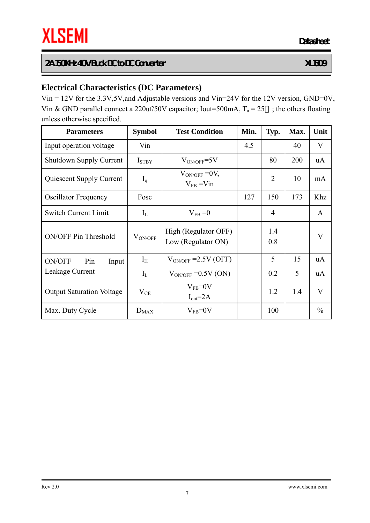# **Electrical Characteristics (DC Parameters)**

Vin = 12V for the 3.3V,5V,and Adjustable versions and Vin=24V for the 12V version, GND=0V, Vin & GND parallel connect a 220uf/50V capacitor; Iout=500mA,  $T_a = 25$ ; the others floating unless otherwise specified.

| <b>Parameters</b>                | <b>Symbol</b>     | <b>Test Condition</b>                      | Min. | Typ.           | Max. | Unit          |
|----------------------------------|-------------------|--------------------------------------------|------|----------------|------|---------------|
| Input operation voltage          | Vin               |                                            | 4.5  |                | 40   | V             |
| <b>Shutdown Supply Current</b>   | I <sub>STBY</sub> | $V_{ON/OFF} = 5V$                          |      | 80             | 200  | uA            |
| Quiescent Supply Current         | $I_q$             | $V_{ON/OFF}$ = 0V,<br>$V_{FB}$ = Vin       |      | $\overline{2}$ | 10   | mA            |
| <b>Oscillator Frequency</b>      | Fosc              |                                            | 127  | 150            | 173  | Khz           |
| <b>Switch Current Limit</b>      | $I_{L}$           | $V_{FB} = 0$                               |      | $\overline{4}$ |      | A             |
| <b>ON/OFF Pin Threshold</b>      | $\rm V_{ON/OFF}$  | High (Regulator OFF)<br>Low (Regulator ON) |      | 1.4<br>0.8     |      | V             |
| ON/OFF<br>Pin<br>Input           | $I_{H}$           | $V_{ON/OFF}$ = 2.5V (OFF)                  |      | 5              | 15   | uA            |
| Leakage Current                  | $I_{L}$           | $V_{ON/OFF}$ =0.5V (ON)                    |      | 0.2            | 5    | uA            |
| <b>Output Saturation Voltage</b> | $V_{CE}$          | $V_{FB} = 0V$<br>$I_{out} = 2A$            |      | 1.2            | 1.4  | V             |
| Max. Duty Cycle                  | $D_{MAX}$         | $V_{FB} = 0V$                              |      | 100            |      | $\frac{0}{0}$ |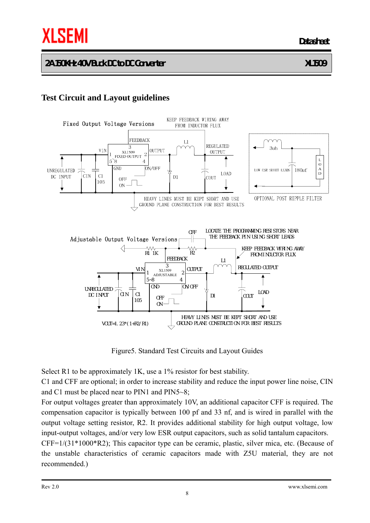# **Test Circuit and Layout guidelines**



Figure5. Standard Test Circuits and Layout Guides

Select R1 to be approximately 1K, use a 1% resistor for best stability.

C1 and CFF are optional; in order to increase stability and reduce the input power line noise, CIN and C1 must be placed near to PIN1 and PIN5~8;

For output voltages greater than approximately 10V, an additional capacitor CFF is required. The compensation capacitor is typically between 100 pf and 33 nf, and is wired in parallel with the output voltage setting resistor, R2. It provides additional stability for high output voltage, low input-output voltages, and/or very low ESR output capacitors, such as solid tantalum capacitors.

CFF=1/(31\*1000\*R2); This capacitor type can be ceramic, plastic, silver mica, etc. (Because of the unstable characteristics of ceramic capacitors made with Z5U material, they are not recommended.)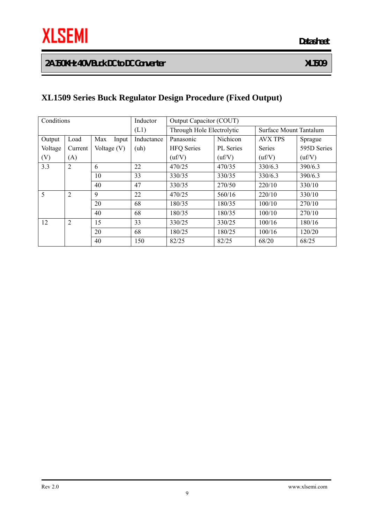# **XL1509 Series Buck Regulator Design Procedure (Fixed Output)**

| Conditions |                |               | Inductor   | Output Capacitor (COUT)   |                  |                |                        |  |
|------------|----------------|---------------|------------|---------------------------|------------------|----------------|------------------------|--|
|            |                |               | (L1)       | Through Hole Electrolytic |                  |                | Surface Mount Tantalum |  |
| Output     | Load           | Max<br>Input  | Inductance | Panasonic                 | Nichicon         | <b>AVX TPS</b> | Sprague                |  |
| Voltage    | Current        | Voltage $(V)$ | (uh)       | <b>HFQ</b> Series         | <b>PL</b> Series | Series         | 595D Series            |  |
| (V)        | (A)            |               |            | (uf/V)                    | (uf/V)           | (uf/V)         | (uf/V)                 |  |
| 3.3        | $\overline{2}$ | 6             | 22         | 470/25                    | 470/35           | 330/6.3        | 390/6.3                |  |
|            |                | 10            | 33         | 330/35                    | 330/35           | 330/6.3        | 390/6.3                |  |
|            |                | 40            | 47         | 330/35                    | 270/50           | 220/10         | 330/10                 |  |
| 5          | $\overline{2}$ | 9             | 22         | 470/25                    | 560/16           | 220/10         | 330/10                 |  |
|            |                | 20            | 68         | 180/35                    | 180/35           | 100/10         | 270/10                 |  |
|            |                | 40            | 68         | 180/35                    | 180/35           | 100/10         | 270/10                 |  |
| 12         | $\overline{2}$ | 15            | 33         | 330/25                    | 330/25           | 100/16         | 180/16                 |  |
|            |                | 20            | 68         | 180/25                    | 180/25           | 100/16         | 120/20                 |  |
|            |                | 40            | 150        | 82/25                     | 82/25            | 68/20          | 68/25                  |  |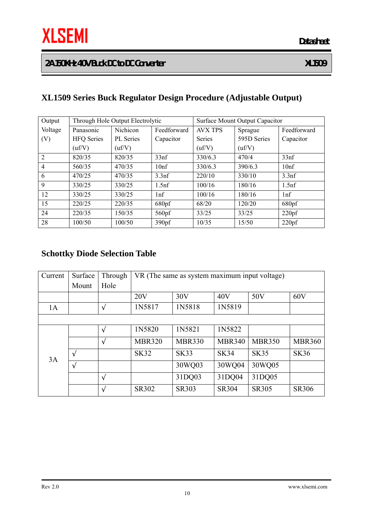# **XL1509 Series Buck Regulator Design Procedure (Adjustable Output)**

| Output         |                   | Through Hole Output Electrolytic |                   | Surface Mount Output Capacitor |             |                   |  |
|----------------|-------------------|----------------------------------|-------------------|--------------------------------|-------------|-------------------|--|
| Voltage        | Panasonic         | Nichicon                         | Feedforward       | <b>AVX TPS</b>                 | Sprague     | Feedforward       |  |
| (V)            | <b>HFQ</b> Series | PL Series                        | Capacitor         | Series                         | 595D Series | Capacitor         |  |
|                | (uf/V)            | $\text{uf/V}$                    |                   | (uf/V)                         | (uf/V)      |                   |  |
| $\overline{2}$ | 820/35            | 820/35                           | 33 <sub>nf</sub>  | 330/6.3                        | 470/4       | 33 <sub>nf</sub>  |  |
| $\overline{4}$ | 560/35            | 470/35                           | 10 <sup>nf</sup>  | 330/6.3                        | 390/6.3     | 10 <sup>nf</sup>  |  |
| 6              | 470/25            | 470/35                           | 3.3 <sub>nf</sub> | 220/10                         | 330/10      | 3.3 <sub>nf</sub> |  |
| 9              | 330/25            | 330/25                           | 1.5 <sub>nf</sub> | 100/16                         | 180/16      | 1.5 <sup>nf</sup> |  |
| 12             | 330/25            | 330/25                           | 1 <sup>n</sup>    | 100/16                         | 180/16      | lnf               |  |
| 15             | 220/25            | 220/35                           | 680pf             | 68/20                          | 120/20      | 680 <sub>pf</sub> |  |
| 24             | 220/35            | 150/35                           | 560 <sub>pf</sub> | 33/25                          | 33/25       | 220pf             |  |
| 28             | 100/50            | 100/50                           | 390 <sub>pf</sub> | 10/35                          | 15/50       | 220pf             |  |

# **Schottky Diode Selection Table**

| Current | Surface | Through | VR (The same as system maximum input voltage) |               |               |               |               |
|---------|---------|---------|-----------------------------------------------|---------------|---------------|---------------|---------------|
|         | Mount   | Hole    |                                               |               |               |               |               |
|         |         |         | 20V                                           | 30V           | 40V           | 50V           | 60V           |
| 1A      |         |         | 1N5817                                        | 1N5818        | 1N5819        |               |               |
|         |         |         |                                               |               |               |               |               |
|         |         |         | 1N5820                                        | 1N5821        | 1N5822        |               |               |
|         |         |         | <b>MBR320</b>                                 | <b>MBR330</b> | <b>MBR340</b> | <b>MBR350</b> | <b>MBR360</b> |
| 3A      |         |         | <b>SK32</b>                                   | <b>SK33</b>   | <b>SK34</b>   | <b>SK35</b>   | <b>SK36</b>   |
|         |         |         |                                               | 30WQ03        | 30WQ04        | 30WQ05        |               |
|         |         |         |                                               | 31DQ03        | 31DQ04        | 31DQ05        |               |
|         |         |         | SR302                                         | <b>SR303</b>  | <b>SR304</b>  | <b>SR305</b>  | <b>SR306</b>  |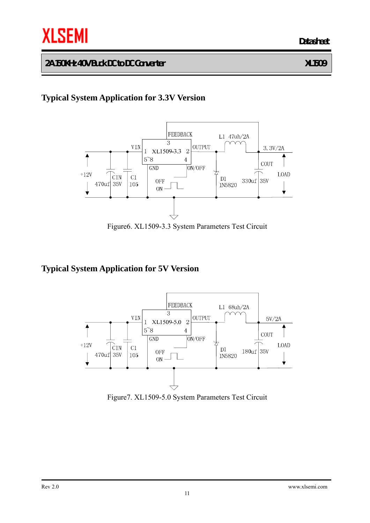# **Typical System Application for 3.3V Version**



Figure6. XL1509-3.3 System Parameters Test Circuit

# **Typical System Application for 5V Version**



Figure7. XL1509-5.0 System Parameters Test Circuit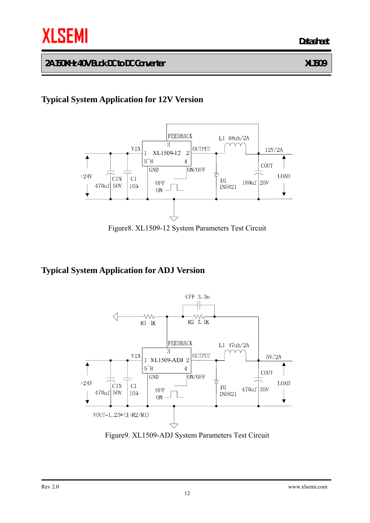# **Typical System Application for 12V Version**



Figure8. XL1509-12 System Parameters Test Circuit

# **Typical System Application for ADJ Version**



Figure9. XL1509-ADJ System Parameters Test Circuit